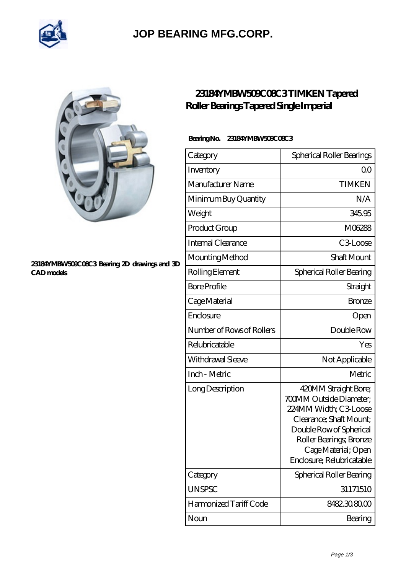

### **[JOP BEARING MFG.CORP.](https://newamericanmedia.org)**



#### **[23184YMBW509C08C3 Bearing 2D drawings and 3D](https://newamericanmedia.org/pic-630958.html) [CAD models](https://newamericanmedia.org/pic-630958.html)**

### **[23184YMBW509C08C3 TIMKEN Tapered](https://newamericanmedia.org/tapered-roller-bearings-tapered-single-imperial/23184ymbw509c08c3.html) [Roller Bearings Tapered Single Imperial](https://newamericanmedia.org/tapered-roller-bearings-tapered-single-imperial/23184ymbw509c08c3.html)**

### **Bearing No. 23184YMBW509C08C3**

| Category                  | Spherical Roller Bearings                                                                                                                                                                                            |
|---------------------------|----------------------------------------------------------------------------------------------------------------------------------------------------------------------------------------------------------------------|
| Inventory                 | 0 <sub>0</sub>                                                                                                                                                                                                       |
| Manufacturer Name         | <b>TIMKEN</b>                                                                                                                                                                                                        |
| Minimum Buy Quantity      | N/A                                                                                                                                                                                                                  |
| Weight                    | 345.95                                                                                                                                                                                                               |
| Product Group             | M06288                                                                                                                                                                                                               |
| Internal Clearance        | C3Loose                                                                                                                                                                                                              |
| Mounting Method           | <b>Shaft Mount</b>                                                                                                                                                                                                   |
| Rolling Element           | Spherical Roller Bearing                                                                                                                                                                                             |
| <b>Bore Profile</b>       | Straight                                                                                                                                                                                                             |
| Cage Material             | <b>Bronze</b>                                                                                                                                                                                                        |
| Enclosure                 | Open                                                                                                                                                                                                                 |
| Number of Rows of Rollers | Double Row                                                                                                                                                                                                           |
| Relubricatable            | Yes                                                                                                                                                                                                                  |
| Withdrawal Sleeve         | Not Applicable                                                                                                                                                                                                       |
| Inch - Metric             | Metric                                                                                                                                                                                                               |
| Long Description          | 420MM Straight Bore;<br><b>700MM Outside Diameter;</b><br>224MM Width; C3 Loose<br>Clearance; Shaft Mount;<br>Double Row of Spherical<br>Roller Bearings, Bronze<br>Cage Material; Open<br>Enclosure; Relubricatable |
| Category                  | Spherical Roller Bearing                                                                                                                                                                                             |
| <b>UNSPSC</b>             | 31171510                                                                                                                                                                                                             |
| Harmonized Tariff Code    | 8482.30.80.00                                                                                                                                                                                                        |
| Noun                      | Bearing                                                                                                                                                                                                              |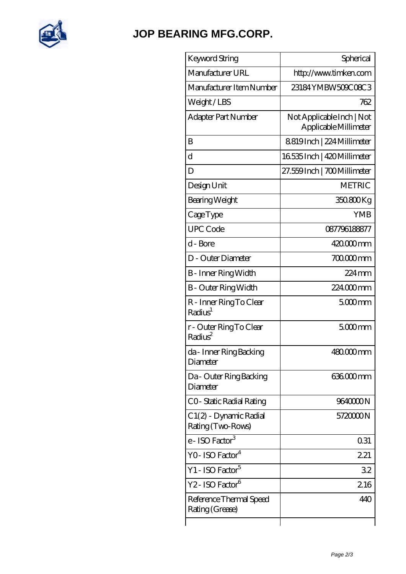

## **[JOP BEARING MFG.CORP.](https://newamericanmedia.org)**

| Keyword String                                 | Spherical                                          |
|------------------------------------------------|----------------------------------------------------|
| Manufacturer URL                               | http://www.timken.com                              |
| Manufacturer Item Number                       | 23184YMBW509C08C3                                  |
| Weight/LBS                                     | 762                                                |
| Adapter Part Number                            | Not Applicable Inch   Not<br>Applicable Millimeter |
| B                                              | 8819Inch   224 Millimeter                          |
| d                                              | 16535 Inch   420 Millimeter                        |
| D                                              | 27.559Inch   700Millimeter                         |
| Design Unit                                    | <b>METRIC</b>                                      |
| Bearing Weight                                 | 350.800Kg                                          |
| CageType                                       | <b>YMB</b>                                         |
| <b>UPC</b> Code                                | 087796188877                                       |
| d - Bore                                       | 420.000mm                                          |
| D - Outer Diameter                             | 700.000mm                                          |
| B - Inner Ring Width                           | $224 \,\mathrm{mm}$                                |
| <b>B</b> - Outer Ring Width                    | 224000mm                                           |
| R - Inner Ring To Clear<br>Radius <sup>1</sup> | $5000$ mm                                          |
| r - Outer Ring To Clear<br>Radius <sup>2</sup> | $5000$ mm                                          |
| da - Inner Ring Backing<br>Diameter            | $48000$ mm                                         |
| Da - Outer Ring Backing<br>Diameter            | 636.000mm                                          |
| CO-Static Radial Rating                        | 9640000N                                           |
| C1(2) - Dynamic Radial<br>Rating (Two-Rows)    | 572000N                                            |
| e - ISO Factor <sup>3</sup>                    | 0.31                                               |
| YO- ISO Factor <sup>4</sup>                    | 221                                                |
| Y1 - ISO Factor <sup>5</sup>                   | 32                                                 |
| Y2 - ISO Factor <sup>6</sup>                   | 216                                                |
| Reference Thermal Speed<br>Rating (Grease)     | 440                                                |
|                                                |                                                    |